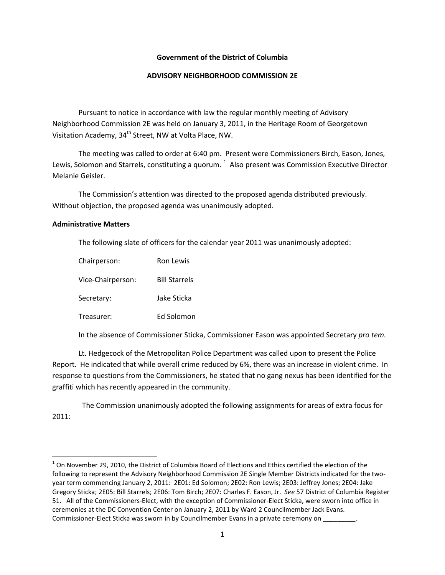# **Government of the District of Columbia**

# **ADVISORY NEIGHBORHOOD COMMISSION 2E**

Pursuant to notice in accordance with law the regular monthly meeting of Advisory Neighborhood Commission 2E was held on January 3, 2011, in the Heritage Room of Georgetown Visitation Academy, 34<sup>th</sup> Street, NW at Volta Place, NW.

The meeting was called to order at 6:40 pm. Present were Commissioners Birch, Eason, Jones, Lewis, Solomon and Starrels, constituting a quorum.  $^1$  $^1$  Also present was Commission Executive Director Melanie Geisler.

The Commission's attention was directed to the proposed agenda distributed previously. Without objection, the proposed agenda was unanimously adopted.

# **Administrative Matters**

The following slate of officers for the calendar year 2011 was unanimously adopted:

| Chairperson:      | Ron Lewis            |
|-------------------|----------------------|
| Vice-Chairperson: | <b>Bill Starrels</b> |
| Secretary:        | Jake Sticka          |
| Treasurer:        | Ed Solomon           |

In the absence of Commissioner Sticka, Commissioner Eason was appointed Secretary *pro tem.*

Lt. Hedgecock of the Metropolitan Police Department was called upon to present the Police Report. He indicated that while overall crime reduced by 6%, there was an increase in violent crime. In response to questions from the Commissioners, he stated that no gang nexus has been identified for the graffiti which has recently appeared in the community.

 The Commission unanimously adopted the following assignments for areas of extra focus for 2011:

<span id="page-0-0"></span> $1$  On November 29, 2010, the District of Columbia Board of Elections and Ethics certified the election of the following to represent the Advisory Neighborhood Commission 2E Single Member Districts indicated for the twoyear term commencing January 2, 2011: 2E01: Ed Solomon; 2E02: Ron Lewis; 2E03: Jeffrey Jones; 2E04: Jake Gregory Sticka; 2E05: Bill Starrels; 2E06: Tom Birch; 2E07: Charles F. Eason, Jr. *See* 57 District of Columbia Register 51. All of the Commissioners-Elect, with the exception of Commissioner-Elect Sticka, were sworn into office in ceremonies at the DC Convention Center on January 2, 2011 by Ward 2 Councilmember Jack Evans. Commissioner-Elect Sticka was sworn in by Councilmember Evans in a private ceremony on  $\qquad \qquad$ .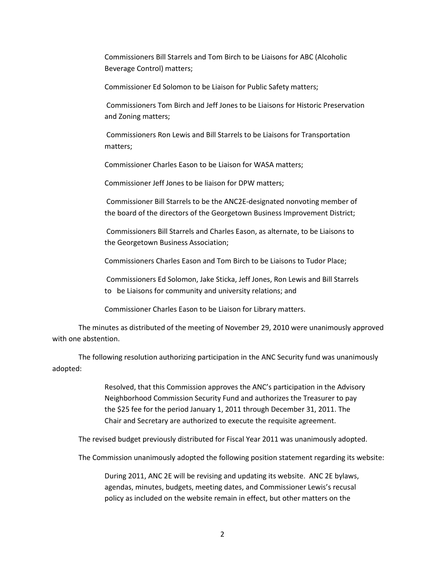Commissioners Bill Starrels and Tom Birch to be Liaisons for ABC (Alcoholic Beverage Control) matters;

Commissioner Ed Solomon to be Liaison for Public Safety matters;

Commissioners Tom Birch and Jeff Jones to be Liaisons for Historic Preservation and Zoning matters;

Commissioners Ron Lewis and Bill Starrels to be Liaisons for Transportation matters;

Commissioner Charles Eason to be Liaison for WASA matters;

Commissioner Jeff Jones to be liaison for DPW matters;

Commissioner Bill Starrels to be the ANC2E-designated nonvoting member of the board of the directors of the Georgetown Business Improvement District;

Commissioners Bill Starrels and Charles Eason, as alternate, to be Liaisons to the Georgetown Business Association;

Commissioners Charles Eason and Tom Birch to be Liaisons to Tudor Place;

Commissioners Ed Solomon, Jake Sticka, Jeff Jones, Ron Lewis and Bill Starrels to be Liaisons for community and university relations; and

Commissioner Charles Eason to be Liaison for Library matters.

The minutes as distributed of the meeting of November 29, 2010 were unanimously approved with one abstention.

The following resolution authorizing participation in the ANC Security fund was unanimously adopted:

> Resolved, that this Commission approves the ANC's participation in the Advisory Neighborhood Commission Security Fund and authorizes the Treasurer to pay the \$25 fee for the period January 1, 2011 through December 31, 2011. The Chair and Secretary are authorized to execute the requisite agreement.

The revised budget previously distributed for Fiscal Year 2011 was unanimously adopted.

The Commission unanimously adopted the following position statement regarding its website:

During 2011, ANC 2E will be revising and updating its website. ANC 2E bylaws, agendas, minutes, budgets, meeting dates, and Commissioner Lewis's recusal policy as included on the website remain in effect, but other matters on the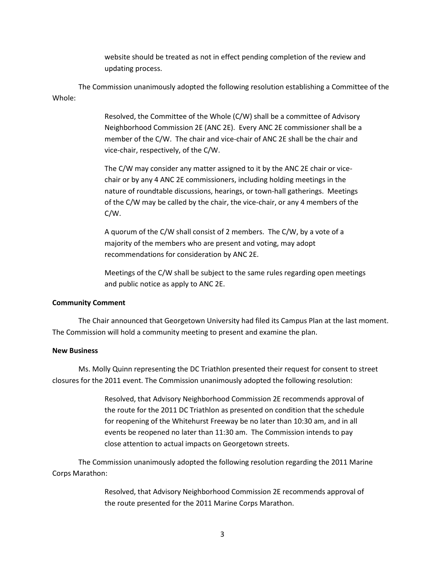website should be treated as not in effect pending completion of the review and updating process.

The Commission unanimously adopted the following resolution establishing a Committee of the Whole:

> Resolved, the Committee of the Whole (C/W) shall be a committee of Advisory Neighborhood Commission 2E (ANC 2E). Every ANC 2E commissioner shall be a member of the C/W. The chair and vice-chair of ANC 2E shall be the chair and vice-chair, respectively, of the C/W.

The C/W may consider any matter assigned to it by the ANC 2E chair or vicechair or by any 4 ANC 2E commissioners, including holding meetings in the nature of roundtable discussions, hearings, or town-hall gatherings. Meetings of the C/W may be called by the chair, the vice-chair, or any 4 members of the C/W.

A quorum of the C/W shall consist of 2 members. The C/W, by a vote of a majority of the members who are present and voting, may adopt recommendations for consideration by ANC 2E.

Meetings of the C/W shall be subject to the same rules regarding open meetings and public notice as apply to ANC 2E.

### **Community Comment**

The Chair announced that Georgetown University had filed its Campus Plan at the last moment. The Commission will hold a community meeting to present and examine the plan.

### **New Business**

Ms. Molly Quinn representing the DC Triathlon presented their request for consent to street closures for the 2011 event. The Commission unanimously adopted the following resolution:

> Resolved, that Advisory Neighborhood Commission 2E recommends approval of the route for the 2011 DC Triathlon as presented on condition that the schedule for reopening of the Whitehurst Freeway be no later than 10:30 am, and in all events be reopened no later than 11:30 am. The Commission intends to pay close attention to actual impacts on Georgetown streets.

The Commission unanimously adopted the following resolution regarding the 2011 Marine Corps Marathon:

> Resolved, that Advisory Neighborhood Commission 2E recommends approval of the route presented for the 2011 Marine Corps Marathon.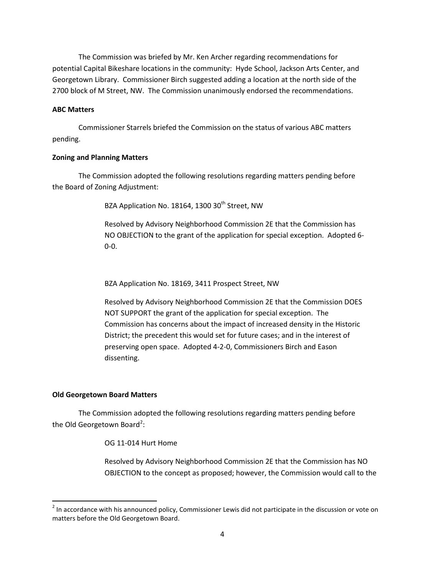The Commission was briefed by Mr. Ken Archer regarding recommendations for potential Capital Bikeshare locations in the community: Hyde School, Jackson Arts Center, and Georgetown Library. Commissioner Birch suggested adding a location at the north side of the 2700 block of M Street, NW. The Commission unanimously endorsed the recommendations.

# **ABC Matters**

Commissioner Starrels briefed the Commission on the status of various ABC matters pending.

# **Zoning and Planning Matters**

The Commission adopted the following resolutions regarding matters pending before the Board of Zoning Adjustment:

BZA Application No. 18164, 1300 30<sup>th</sup> Street, NW

Resolved by Advisory Neighborhood Commission 2E that the Commission has NO OBJECTION to the grant of the application for special exception. Adopted 6- 0-0.

BZA Application No. 18169, 3411 Prospect Street, NW

Resolved by Advisory Neighborhood Commission 2E that the Commission DOES NOT SUPPORT the grant of the application for special exception. The Commission has concerns about the impact of increased density in the Historic District; the precedent this would set for future cases; and in the interest of preserving open space. Adopted 4-2-0, Commissioners Birch and Eason dissenting.

# **Old Georgetown Board Matters**

The Commission adopted the following resolutions regarding matters pending before the Old Georgetown Board<sup>[2](#page-3-0)</sup>:

OG 11-014 Hurt Home

Resolved by Advisory Neighborhood Commission 2E that the Commission has NO OBJECTION to the concept as proposed; however, the Commission would call to the

<span id="page-3-0"></span><sup>&</sup>lt;sup>2</sup> In accordance with his announced policy, Commissioner Lewis did not participate in the discussion or vote on matters before the Old Georgetown Board.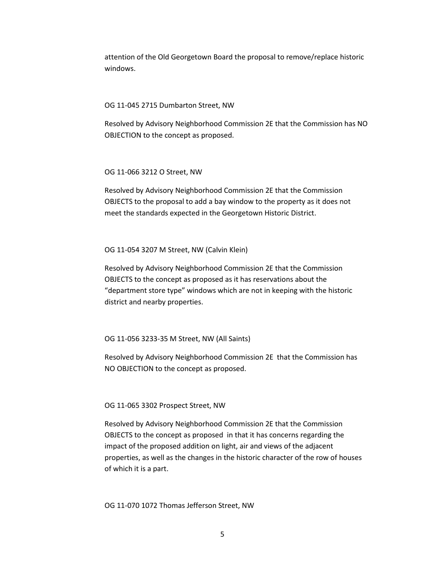attention of the Old Georgetown Board the proposal to remove/replace historic windows.

### OG 11-045 2715 Dumbarton Street, NW

Resolved by Advisory Neighborhood Commission 2E that the Commission has NO OBJECTION to the concept as proposed.

### OG 11-066 3212 O Street, NW

Resolved by Advisory Neighborhood Commission 2E that the Commission OBJECTS to the proposal to add a bay window to the property as it does not meet the standards expected in the Georgetown Historic District.

### OG 11-054 3207 M Street, NW (Calvin Klein)

Resolved by Advisory Neighborhood Commission 2E that the Commission OBJECTS to the concept as proposed as it has reservations about the "department store type" windows which are not in keeping with the historic district and nearby properties.

### OG 11-056 3233-35 M Street, NW (All Saints)

Resolved by Advisory Neighborhood Commission 2E that the Commission has NO OBJECTION to the concept as proposed.

#### OG 11-065 3302 Prospect Street, NW

Resolved by Advisory Neighborhood Commission 2E that the Commission OBJECTS to the concept as proposed in that it has concerns regarding the impact of the proposed addition on light, air and views of the adjacent properties, as well as the changes in the historic character of the row of houses of which it is a part.

### OG 11-070 1072 Thomas Jefferson Street, NW